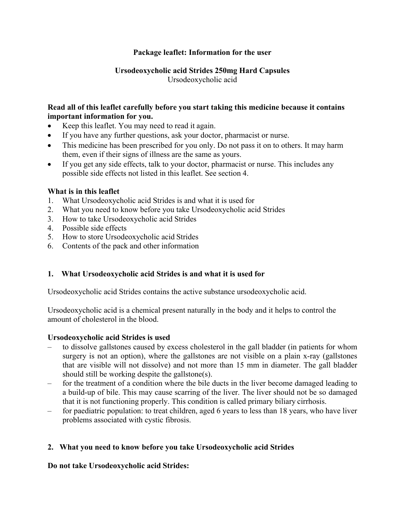# **Package leaflet: Information for the user**

# **Ursodeoxycholic acid Strides 250mg Hard Capsules** Ursodeoxycholic acid

# **Read all of this leaflet carefully before you start taking this medicine because it contains important information for you.**

- Keep this leaflet. You may need to read it again.
- If you have any further questions, ask your doctor, pharmacist or nurse.
- This medicine has been prescribed for you only. Do not pass it on to others. It may harm them, even if their signs of illness are the same as yours.
- If you get any side effects, talk to your doctor, pharmacist or nurse. This includes any possible side effects not listed in this leaflet. See section 4.

# **What is in this leaflet**

- 1. What Ursodeoxycholic acid Strides is and what it is used for
- 2. What you need to know before you take Ursodeoxycholic acid Strides
- 3. How to take Ursodeoxycholic acid Strides
- 4. Possible side effects
- 5. How to store Ursodeoxycholic acid Strides
- 6. Contents of the pack and other information

# **1. What Ursodeoxycholic acid Strides is and what it is used for**

Ursodeoxycholic acid Strides contains the active substance ursodeoxycholic acid.

Ursodeoxycholic acid is a chemical present naturally in the body and it helps to control the amount of cholesterol in the blood.

### **Ursodeoxycholic acid Strides is used**

- to dissolve gallstones caused by excess cholesterol in the gall bladder (in patients for whom surgery is not an option), where the gallstones are not visible on a plain x-ray (gallstones that are visible will not dissolve) and not more than 15 mm in diameter. The gall bladder should still be working despite the gallstone(s).
- for the treatment of a condition where the bile ducts in the liver become damaged leading to a build-up of bile. This may cause scarring of the liver. The liver should not be so damaged that it is not functioning properly. This condition is called primary biliary cirrhosis.
- for paediatric population: to treat children, aged 6 years to less than 18 years, who have liver problems associated with cystic fibrosis.

# **2. What you need to know before you take Ursodeoxycholic acid Strides**

# **Do not take Ursodeoxycholic acid Strides:**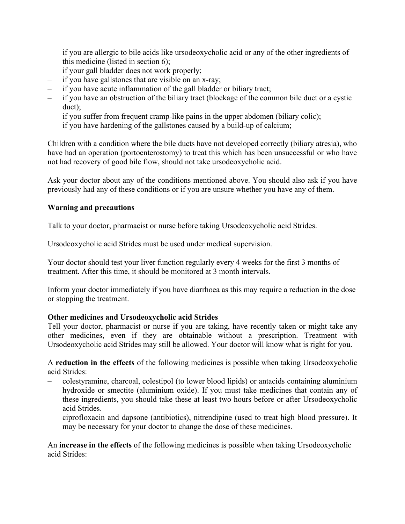- if you are allergic to bile acids like ursodeoxycholic acid or any of the other ingredients of this medicine (listed in section 6);
- if your gall bladder does not work properly;
- if you have gallstones that are visible on an x-ray;
- if you have acute inflammation of the gall bladder or biliary tract;
- if you have an obstruction of the biliary tract (blockage of the common bile duct or a cystic duct);
- if you suffer from frequent cramp-like pains in the upper abdomen (biliary colic);
- if you have hardening of the gallstones caused by a build-up of calcium;

Children with a condition where the bile ducts have not developed correctly (biliary atresia), who have had an operation (portoenterostomy) to treat this which has been unsuccessful or who have not had recovery of good bile flow, should not take ursodeoxycholic acid.

Ask your doctor about any of the conditions mentioned above. You should also ask if you have previously had any of these conditions or if you are unsure whether you have any of them.

# **Warning and precautions**

Talk to your doctor, pharmacist or nurse before taking Ursodeoxycholic acid Strides.

Ursodeoxycholic acid Strides must be used under medical supervision.

Your doctor should test your liver function regularly every 4 weeks for the first 3 months of treatment. After this time, it should be monitored at 3 month intervals.

Inform your doctor immediately if you have diarrhoea as this may require a reduction in the dose or stopping the treatment.

# **Other medicines and Ursodeoxycholic acid Strides**

Tell your doctor, pharmacist or nurse if you are taking, have recently taken or might take any other medicines, even if they are obtainable without a prescription. Treatment with Ursodeoxycholic acid Strides may still be allowed. Your doctor will know what is right for you.

A **reduction in the effects** of the following medicines is possible when taking Ursodeoxycholic acid Strides:

- colestyramine, charcoal, colestipol (to lower blood lipids) or antacids containing aluminium hydroxide or smectite (aluminium oxide). If you must take medicines that contain any of these ingredients, you should take these at least two hours before or after Ursodeoxycholic acid Strides.
	- ciprofloxacin and dapsone (antibiotics), nitrendipine (used to treat high blood pressure). It may be necessary for your doctor to change the dose of these medicines.

An **increase in the effects** of the following medicines is possible when taking Ursodeoxycholic acid Strides: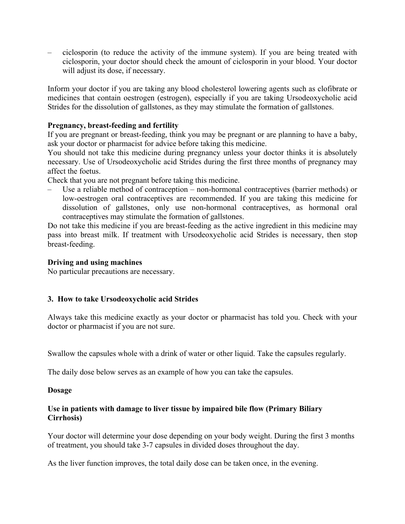– ciclosporin (to reduce the activity of the immune system). If you are being treated with ciclosporin, your doctor should check the amount of ciclosporin in your blood. Your doctor will adjust its dose, if necessary.

Inform your doctor if you are taking any blood cholesterol lowering agents such as clofibrate or medicines that contain oestrogen (estrogen), especially if you are taking Ursodeoxycholic acid Strides for the dissolution of gallstones, as they may stimulate the formation of gallstones.

### **Pregnancy, breast-feeding and fertility**

If you are pregnant or breast-feeding, think you may be pregnant or are planning to have a baby, ask your doctor or pharmacist for advice before taking this medicine.

You should not take this medicine during pregnancy unless your doctor thinks it is absolutely necessary. Use of Ursodeoxycholic acid Strides during the first three months of pregnancy may affect the foetus.

Check that you are not pregnant before taking this medicine.

– Use a reliable method of contraception – non-hormonal contraceptives (barrier methods) or low-oestrogen oral contraceptives are recommended. If you are taking this medicine for dissolution of gallstones, only use non-hormonal contraceptives, as hormonal oral contraceptives may stimulate the formation of gallstones.

Do not take this medicine if you are breast-feeding as the active ingredient in this medicine may pass into breast milk. If treatment with Ursodeoxycholic acid Strides is necessary, then stop breast-feeding.

### **Driving and using machines**

No particular precautions are necessary.

# **3. How to take Ursodeoxycholic acid Strides**

Always take this medicine exactly as your doctor or pharmacist has told you. Check with your doctor or pharmacist if you are not sure.

Swallow the capsules whole with a drink of water or other liquid. Take the capsules regularly.

The daily dose below serves as an example of how you can take the capsules.

### **Dosage**

### **Use in patients with damage to liver tissue by impaired bile flow (Primary Biliary Cirrhosis)**

Your doctor will determine your dose depending on your body weight. During the first 3 months of treatment, you should take 3-7 capsules in divided doses throughout the day.

As the liver function improves, the total daily dose can be taken once, in the evening.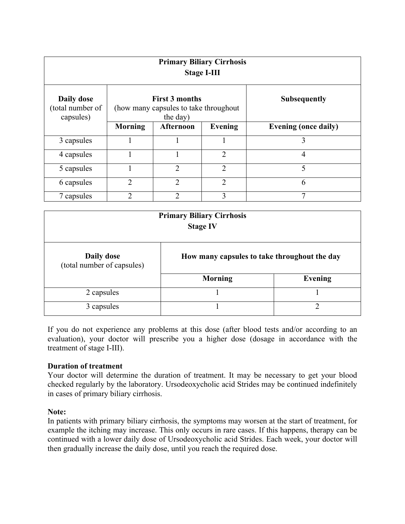| <b>Primary Biliary Cirrhosis</b><br><b>Stage I-III</b> |                                                                            |                |                |                             |  |  |
|--------------------------------------------------------|----------------------------------------------------------------------------|----------------|----------------|-----------------------------|--|--|
| Daily dose<br>(total number of<br>capsules)            | <b>First 3 months</b><br>(how many capsules to take throughout<br>the day) |                |                | <b>Subsequently</b>         |  |  |
|                                                        | <b>Morning</b>                                                             | Afternoon      | <b>Evening</b> | <b>Evening (once daily)</b> |  |  |
| 3 capsules                                             |                                                                            |                |                | 3                           |  |  |
| 4 capsules                                             |                                                                            | 1              | $\overline{2}$ | $\overline{4}$              |  |  |
| 5 capsules                                             |                                                                            | $\overline{2}$ | $\overline{2}$ | 5                           |  |  |
| 6 capsules                                             | 2                                                                          | $\overline{2}$ | $\overline{2}$ | 6                           |  |  |
| 7 capsules                                             | 2                                                                          | っ              | 3              |                             |  |  |

| <b>Primary Biliary Cirrhosis</b><br><b>Stage IV</b> |                                              |                |  |  |
|-----------------------------------------------------|----------------------------------------------|----------------|--|--|
| Daily dose<br>(total number of capsules)            | How many capsules to take throughout the day |                |  |  |
|                                                     | <b>Morning</b>                               | <b>Evening</b> |  |  |
| 2 capsules                                          |                                              |                |  |  |
| 3 capsules                                          |                                              | ◠              |  |  |

If you do not experience any problems at this dose (after blood tests and/or according to an evaluation), your doctor will prescribe you a higher dose (dosage in accordance with the treatment of stage I-III).

### **Duration of treatment**

Your doctor will determine the duration of treatment. It may be necessary to get your blood checked regularly by the laboratory. Ursodeoxycholic acid Strides may be continued indefinitely in cases of primary biliary cirrhosis.

### **Note:**

In patients with primary biliary cirrhosis, the symptoms may worsen at the start of treatment, for example the itching may increase. This only occurs in rare cases. If this happens, therapy can be continued with a lower daily dose of Ursodeoxycholic acid Strides. Each week, your doctor will then gradually increase the daily dose, until you reach the required dose.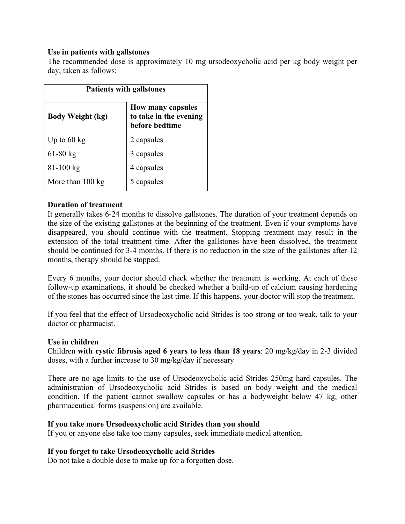### **Use in patients with gallstones**

The recommended dose is approximately 10 mg ursodeoxycholic acid per kg body weight per day, taken as follows:

| <b>Patients with gallstones</b> |                                                                      |  |  |
|---------------------------------|----------------------------------------------------------------------|--|--|
| <b>Body Weight (kg)</b>         | <b>How many capsules</b><br>to take in the evening<br>before bedtime |  |  |
| Up to $60 \text{ kg}$           | 2 capsules                                                           |  |  |
| $61-80$ kg                      | 3 capsules                                                           |  |  |
| $81 - 100$ kg                   | 4 capsules                                                           |  |  |
| More than 100 kg                | 5 capsules                                                           |  |  |

### **Duration of treatment**

It generally takes 6-24 months to dissolve gallstones. The duration of your treatment depends on the size of the existing gallstones at the beginning of the treatment. Even if your symptoms have disappeared, you should continue with the treatment. Stopping treatment may result in the extension of the total treatment time. After the gallstones have been dissolved, the treatment should be continued for 3-4 months. If there is no reduction in the size of the gallstones after 12 months, therapy should be stopped.

Every 6 months, your doctor should check whether the treatment is working. At each of these follow-up examinations, it should be checked whether a build-up of calcium causing hardening of the stones has occurred since the last time. If this happens, your doctor will stop the treatment.

If you feel that the effect of Ursodeoxycholic acid Strides is too strong or too weak, talk to your doctor or pharmacist.

### **Use in children**

Children **with cystic fibrosis aged 6 years to less than 18 years**: 20 mg/kg/day in 2-3 divided doses, with a further increase to 30 mg/kg/day if necessary

There are no age limits to the use of Ursodeoxycholic acid Strides 250mg hard capsules. The administration of Ursodeoxycholic acid Strides is based on body weight and the medical condition. If the patient cannot swallow capsules or has a bodyweight below 47 kg, other pharmaceutical forms (suspension) are available.

### **If you take more Ursodeoxycholic acid Strides than you should**

If you or anyone else take too many capsules, seek immediate medical attention.

# **If you forget to take Ursodeoxycholic acid Strides**

Do not take a double dose to make up for a forgotten dose.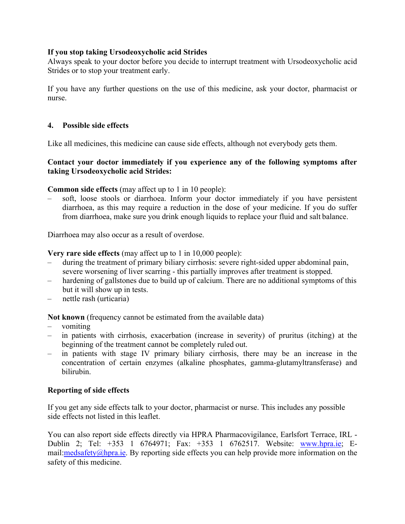### **If you stop taking Ursodeoxycholic acid Strides**

Always speak to your doctor before you decide to interrupt treatment with Ursodeoxycholic acid Strides or to stop your treatment early.

If you have any further questions on the use of this medicine, ask your doctor, pharmacist or nurse.

### **4. Possible side effects**

Like all medicines, this medicine can cause side effects, although not everybody gets them.

### **Contact your doctor immediately if you experience any of the following symptoms after taking Ursodeoxycholic acid Strides:**

**Common side effects** (may affect up to 1 in 10 people):

– soft, loose stools or diarrhoea. Inform your doctor immediately if you have persistent diarrhoea, as this may require a reduction in the dose of your medicine. If you do suffer from diarrhoea, make sure you drink enough liquids to replace your fluid and salt balance.

Diarrhoea may also occur as a result of overdose.

**Very rare side effects** (may affect up to 1 in 10,000 people):

- during the treatment of primary biliary cirrhosis: severe right-sided upper abdominal pain, severe worsening of liver scarring - this partially improves after treatment is stopped.
- hardening of gallstones due to build up of calcium. There are no additional symptoms of this but it will show up in tests.
- nettle rash (urticaria)

**Not known** (frequency cannot be estimated from the available data)

- vomiting
- in patients with cirrhosis, exacerbation (increase in severity) of pruritus (itching) at the beginning of the treatment cannot be completely ruled out.
- in patients with stage IV primary biliary cirrhosis, there may be an increase in the concentration of certain enzymes (alkaline phosphates, gamma-glutamyltransferase) and bilirubin.

# **Reporting of side effects**

If you get any side effects talk to your doctor, pharmacist or nurse. This includes any possible side effects not listed in this leaflet.

You can also report side effects directly via HPRA Pharmacovigilance, Earlsfort Terrace, IRL - Dublin 2; Tel: +353 1 6764971; Fax: +353 1 6762517. Website: [www.hpra.ie;](http://www.hpra.ie/) Email: $\text{med}$ safety $\textcircled{a}$ hpra.ie. By reporting side effects you can help provide more information on the safety of this medicine.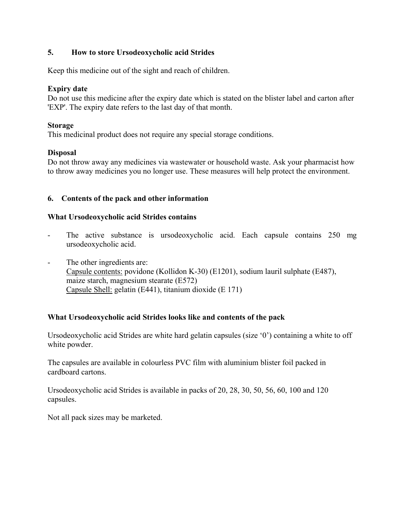# **5. How to store Ursodeoxycholic acid Strides**

Keep this medicine out of the sight and reach of children.

# **Expiry date**

Do not use this medicine after the expiry date which is stated on the blister label and carton after 'EXP'. The expiry date refers to the last day of that month.

### **Storage**

This medicinal product does not require any special storage conditions.

# **Disposal**

Do not throw away any medicines via wastewater or household waste. Ask your pharmacist how to throw away medicines you no longer use. These measures will help protect the environment.

# **6. Contents of the pack and other information**

### **What Ursodeoxycholic acid Strides contains**

- The active substance is ursodeoxycholic acid. Each capsule contains 250 mg ursodeoxycholic acid.
- The other ingredients are: Capsule contents: povidone (Kollidon K-30) (E1201), sodium lauril sulphate (E487), maize starch, magnesium stearate (E572) Capsule Shell: gelatin (E441), titanium dioxide (E 171)

# **What Ursodeoxycholic acid Strides looks like and contents of the pack**

Ursodeoxycholic acid Strides are white hard gelatin capsules (size '0') containing a white to off white powder.

The capsules are available in colourless PVC film with aluminium blister foil packed in cardboard cartons.

Ursodeoxycholic acid Strides is available in packs of 20, 28, 30, 50, 56, 60, 100 and 120 capsules.

Not all pack sizes may be marketed.